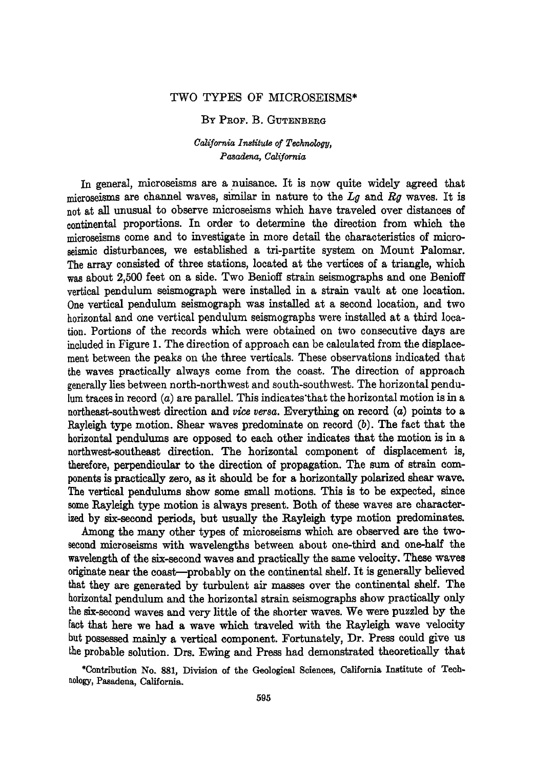## **TWO TYPES OF MICROSE!SMS\***

## **BY PROF. B. GUTENBERG**

## California Institute of Technology. **Pasadena, California**

In general, microseisms are a nuisance. It is now quite widely agreed that **microseisms are channel waves, similar in nature to the Lg and Rg waves. It is not at all unusual to observe microseisms which have traveled over distances of continental proportions. In order to determine the direction from which the microseisms come and to investigate in more detail the characteristics of microseismic disturbances, we established a tri-partite system on Mount Palomar. The array consisted of three stations, located at the vertices of a triangle, which**  was about 2,500 feet on a side. Two Benioff strain seismographs and one Benioff **vertical pendulum seismograph were installed in a strain vault at one location. One vertical pendulum seismograph was installed at a second location, and two horizontal and one vertical pendulum seismographs were installed at a third location. Portions of the records which were obtained on two consecutive days are included in Figure 1. The direction of approach can be calculated from the displacement between the peaks on the three verticals. These observations indicated that the waves practically always come from the coast. The direction of approach generallyies between north-northwest and south-southwest. The horizontal pendu** $lum$  traces in record  $(a)$  are parallel. This indicates that the horizontal motion is in a **northeast-southwest direction and vice versa. Everything on record (a) points to a Rayleigh type motion. Shear waves predominate on record (b). The fact that the horizontal pendulums are opposed to each other indicates that the motion is in a northwest-southeast direction. The horizontal component of displacement is, therefore, perpendicular to the direction of propagation. The sum of strain components is practically zero, as it should be for a horizontally polarized shear wave.**  The vertical pendulums show some small motions. This is to be expected, since **some Rayleigh type motion is always present. Both of these waves are character~ ized by six-second periods, but usually the Rayleigh type motion predominates.** 

**Among the many other types of microseisms which are observed are the twosecond microseisms with wavelengths between about one-third and one-half the**  wavelength of the six-second waves and practically the same velocity. These waves **originate near the coast--probably on the continental shelf. it is generally believed that they are generated by turbulent air masses over the continental shelf. The horizontal pendulum and the horizontal strain seismographs show practically only the six-second waves and very little of the shorter waves. We were puzzled by the [act that here we had a wave which traveled with the Rayleigh wave velocity but possessed mainly a vertical component. Fortunately, Dr. Press could give us the probable solution. Drs. Ewing and Press had demonstrated theoretically that** 

**\*Contribution No. 881, Division of the Geological Sciences, California Institute of Tech~ aology, Pasadena, California.**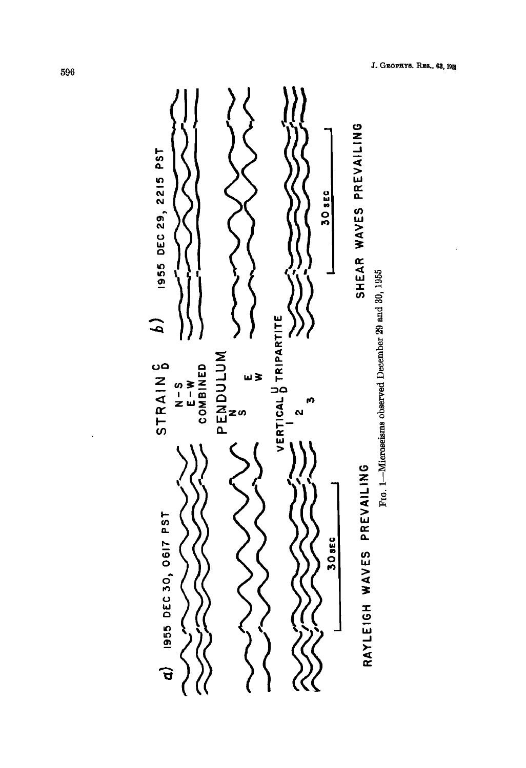